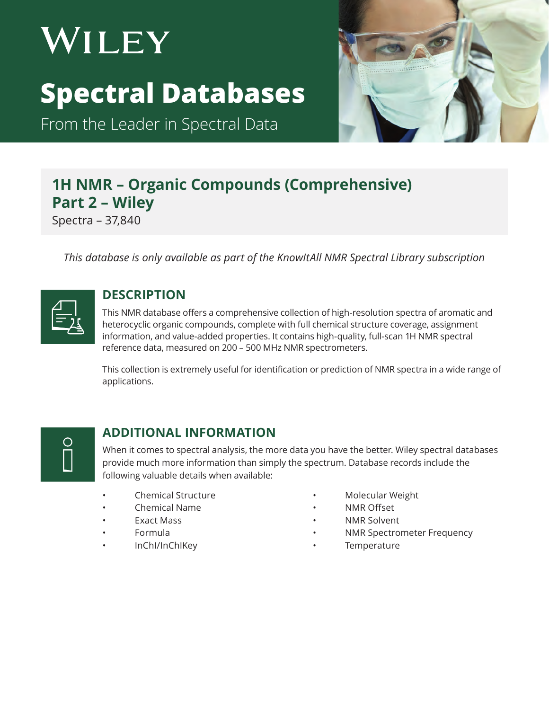# WILEY **Spectral Databases**

From the Leader in Spectral Data



# **1H NMR – Organic Compounds (Comprehensive) Part 2 – Wiley** Spectra – 37,840

*This database is only available as part of the KnowItAll NMR Spectral Library subscription*

| -- |
|----|
|----|

#### **DESCRIPTION**

This NMR database offers a comprehensive collection of high-resolution spectra of aromatic and heterocyclic organic compounds, complete with full chemical structure coverage, assignment information, and value-added properties. It contains high-quality, full-scan 1H NMR spectral reference data, measured on 200 – 500 MHz NMR spectrometers.

This collection is extremely useful for identification or prediction of NMR spectra in a wide range of applications.

O

#### **ADDITIONAL INFORMATION**

When it comes to spectral analysis, the more data you have the better. Wiley spectral databases provide much more information than simply the spectrum. Database records include the following valuable details when available:

- Chemical Structure
- Chemical Name
- Exact Mass
- Formula
- InChI/InChIKey
- Molecular Weight
- NMR Offset
- NMR Solvent
- NMR Spectrometer Frequency
- **Temperature**